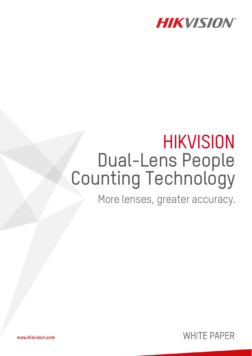

# **HIKVISION** Dual-Lens People Counting Technology

More lenses, greater accuracy.



www.hikvision.com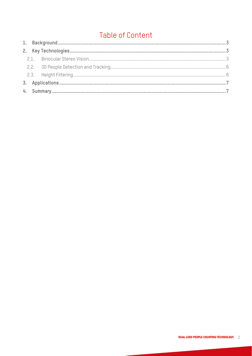# **Table of Content**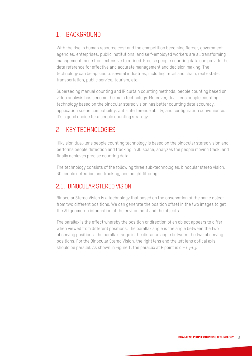## 1. BACKGROUND

With the rise in human resource cost and the competition becoming fiercer, government agencies, enterprises, public institutions, and self-employed workers are all transforming management mode from extensive to refined. Precise people counting data can provide the data reference for effective and accurate management and decision making. The technology can be applied to several industries, including retail and chain, real estate, transportation, public service, tourism, etc.

Superseding manual counting and IR curtain counting methods, people counting based on video analysis has become the main technology. Moreover, dual-lens people counting technology based on the binocular stereo vision has better counting data accuracy, application scene compatibility, anti-interference ability, and configuration convenience. It's a good choice for a people counting strategy.

#### 2. KEY TECHNOLOGIES

Hikvision dual-lens people counting technology is based on the binocular stereo vision and performs people detection and tracking in 3D space, analyzes the people moving track, and finally achieves precise counting data.

The technology consists of the following three sub-technologies: binocular stereo vision, 3D people detection and tracking, and height filtering.

#### 2.1. BINOCULAR STEREO VISION

Binocular Stereo Vision is a technology that based on the observation of the same object from two different positions. We can generate the position offset in the two images to get the 3D geometric information of the environment and the objects.

The parallax is the effect whereby the position or direction of an object appears to differ when viewed from different positions. The parallax angle is the angle between the two observing positions. The parallax range is the distance angle between the two observing positions. For the Binocular Stereo Vision, the right lens and the left lens optical axis should be parallel. As shown in Figure 1, the parallax at P point is  $d = u_1 - u_2$ .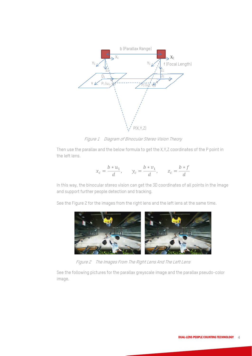

Figure 1 Diagram of Binocular Stereo Vision Theory

Then use the parallax and the below formula to get the X,Y,Z coordinates of the P point in the left lens.

$$
x_c = \frac{b * u_1}{d}, \qquad y_c = \frac{b * v_1}{d}, \qquad z_c = \frac{b * f}{d}
$$

In this way, the binocular stereo vision can get the 3D coordinates of all points in the image and support further people detection and tracking.

See the Figure 2 for the images from the right lens and the left lens at the same time.



Figure 2 The Images From The Right Lens And The Left Lens

See the following pictures for the parallax greyscale image and the parallax pseudo-color image.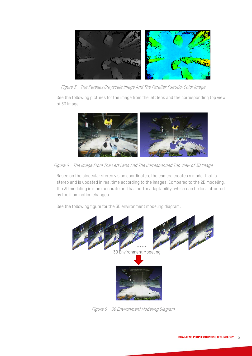

Figure 3 The Parallax Greyscale Image And The Parallax Pseudo-Color Image

See the following pictures for the image from the left lens and the corresponding top view of 3D image.



Figure 4 The Image From The Left Lens And The Corresponded Top View of 3D Image

Based on the binocular stereo vision coordinates, the camera creates a model that is stereo and is updated in real time according to the images. Compared to the 2D modeling, the 3D modeling is more accurate and has better adaptability, which can be less affected by the illumination changes.

See the following figure for the 3D environment modeling diagram.



Figure 5 3D Environment Modeling Diagram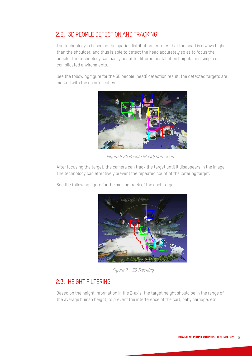## 2.2. 3D PEOPLE DETECTION AND TRACKING

The technology is based on the spatial distribution features that the head is always higher than the shoulder, and thus is able to detect the head accurately so as to focus the people. The technology can easily adapt to different installation heights and simple or complicated environments.

See the following figure for the 3D people (head) detection result, the detected targets are marked with the colorful cubes.



Figure 6 3D People (Head) Detection

After focusing the target, the camera can track the target until it disappears in the image. The technology can effectively prevent the repeated count of the loitering target.

See the following figure for the moving track of the each target.



Figure 7 3D Tracking

#### 2.3. HEIGHT FILTERING

Based on the height information in the Z-axis, the target height should be in the range of the average human height, to prevent the interference of the cart, baby carriage, etc.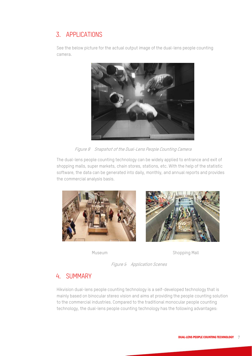# 3. APPLICATIONS

See the below picture for the actual output image of the dual-lens people counting camera.



Figure 8 Snapshot of the Dual-Lens People Counting Camera

The dual-lens people counting technology can be widely applied to entrance and exit of shopping malls, super markets, chain stores, stations, etc. With the help of the statistic software, the data can be generated into daily, monthly, and annual reports and provides the commercial analysis basis.



Museum **Shopping Mall** 

Figure 9 Application Scenes

#### 4. SUMMARY

Hikvision dual-lens people counting technology is a self-developed technology that is mainly based on binocular stereo vision and aims at providing the people counting solution to the commercial industries. Compared to the traditional monocular people counting technology, the dual-lens people counting technology has the following advantages: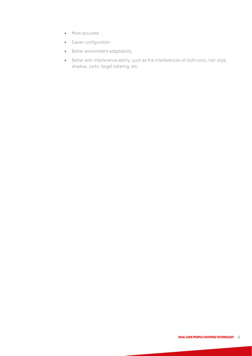- More accurate
- Easier configuration
- Better environment adaptability
- Better anti-interference ability, such as the interferences of cloth color, hair style, shadow, carts, target loitering, etc.